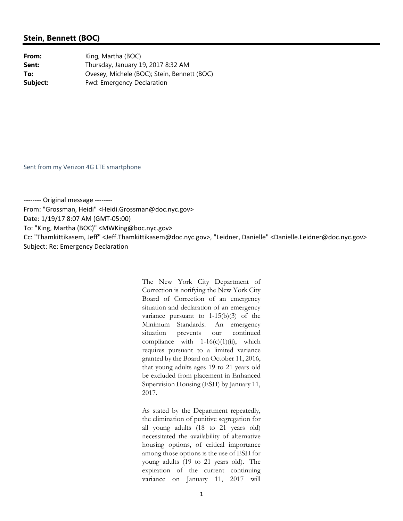From: "Grossman, Heidi" <Heidi.Grossman@doc.nyc.gov> Date: 1/19/17 8:07 AM (GMT‐05:00) To: "King, Martha (BOC)" <MWKing@boc.nyc.gov> Cc: "Thamkittikasem, Jeff" <Jeff.Thamkittikasem@doc.nyc.gov>, "Leidner, Danielle" <Danielle.Leidner@doc.nyc.gov> Subject: Re: Emergency Declaration

> The New York City Department of Correction is notifying the New York City Board of Correction of an emergency situation and declaration of an emergency variance pursuant to 1-15(b)(3) of the Minimum Standards. An emergency situation prevents our continued compliance with  $1-16(c)(1)(ii)$ , which requires pursuant to a limited variance granted by the Board on October 11, 2016, that young adults ages 19 to 21 years old be excluded from placement in Enhanced Supervision Housing (ESH) by January 11, 2017.

> As stated by the Department repeatedly, the elimination of punitive segregation for all young adults (18 to 21 years old) necessitated the availability of alternative housing options, of critical importance among those options is the use of ESH for young adults (19 to 21 years old). The expiration of the current continuing variance on January 11, 2017 will